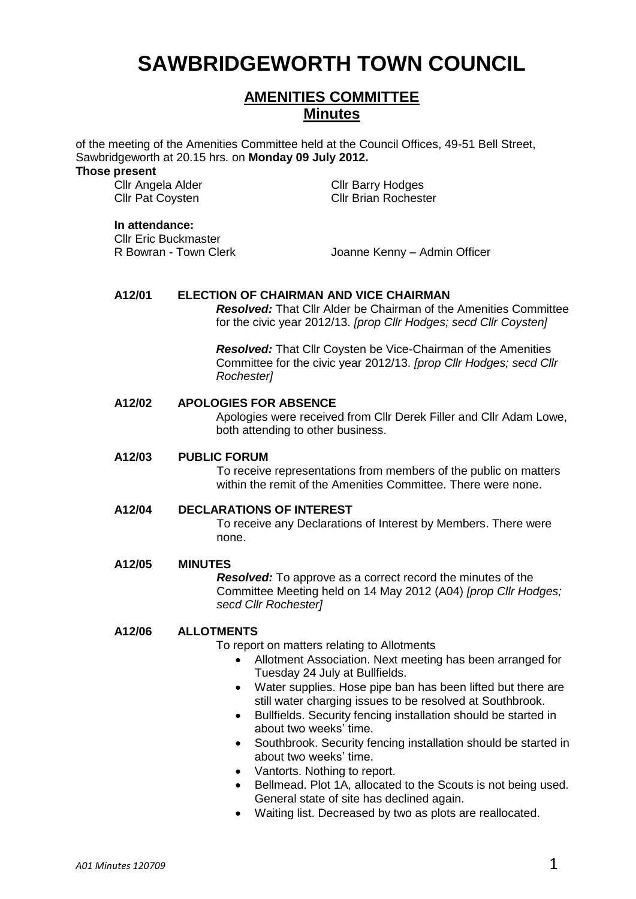# **SAWBRIDGEWORTH TOWN COUNCIL**

# **AMENITIES COMMITTEE Minutes**

of the meeting of the Amenities Committee held at the Council Offices, 49-51 Bell Street, Sawbridgeworth at 20.15 hrs. on **Monday 09 July 2012.**

#### **Those present**

Cllr Angela Alder Cllr Barry Hodges Cllr Pat Coysten Cllr Brian Rochester

#### **In attendance:**

Cllr Eric Buckmaster

R Bowran - Town Clerk Joanne Kenny – Admin Officer

# **A12/01 ELECTION OF CHAIRMAN AND VICE CHAIRMAN**

*Resolved:* That Cllr Alder be Chairman of the Amenities Committee for the civic year 2012/13. *[prop Cllr Hodges; secd Cllr Coysten]*

*Resolved:* That Cllr Coysten be Vice-Chairman of the Amenities Committee for the civic year 2012/13. *[prop Cllr Hodges; secd Cllr Rochester]*

# **A12/02 APOLOGIES FOR ABSENCE**

Apologies were received from Cllr Derek Filler and Cllr Adam Lowe, both attending to other business.

#### **A12/03 PUBLIC FORUM**

To receive representations from members of the public on matters within the remit of the Amenities Committee. There were none.

#### **A12/04 DECLARATIONS OF INTEREST**

To receive any Declarations of Interest by Members. There were none.

#### **A12/05 MINUTES**

*Resolved:* To approve as a correct record the minutes of the Committee Meeting held on 14 May 2012 (A04) *[prop Cllr Hodges; secd Cllr Rochester]*

#### **A12/06 ALLOTMENTS**

To report on matters relating to Allotments

- Allotment Association. Next meeting has been arranged for Tuesday 24 July at Bullfields.
- Water supplies. Hose pipe ban has been lifted but there are still water charging issues to be resolved at Southbrook.
- Bullfields. Security fencing installation should be started in about two weeks' time.
- Southbrook. Security fencing installation should be started in about two weeks' time.
- Vantorts. Nothing to report.
- Bellmead. Plot 1A, allocated to the Scouts is not being used. General state of site has declined again.
- Waiting list. Decreased by two as plots are reallocated.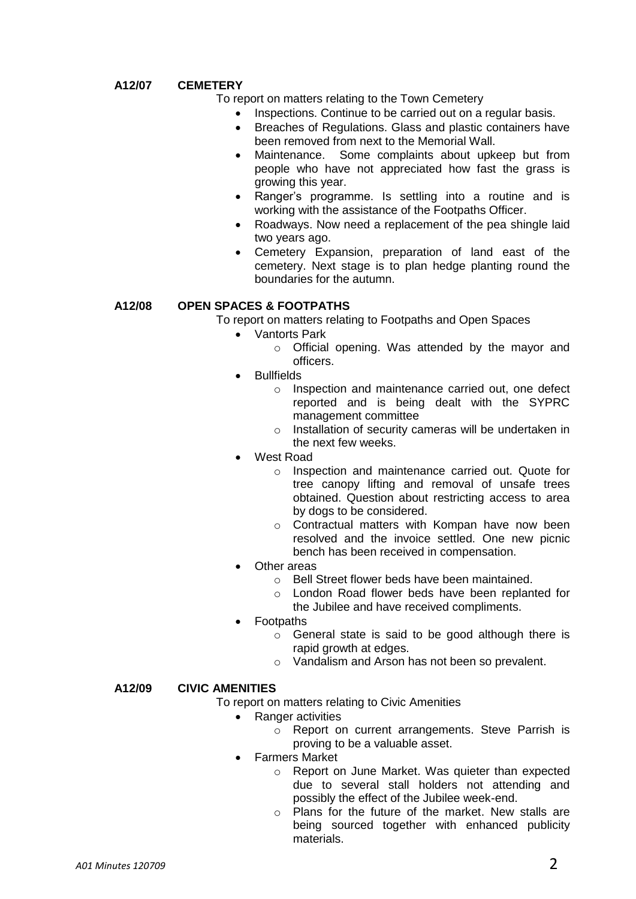# **A12/07 CEMETERY**

To report on matters relating to the Town Cemetery

- Inspections. Continue to be carried out on a regular basis.
- Breaches of Regulations. Glass and plastic containers have been removed from next to the Memorial Wall.
- Maintenance. Some complaints about upkeep but from people who have not appreciated how fast the grass is growing this year.
- Ranger's programme. Is settling into a routine and is working with the assistance of the Footpaths Officer.
- Roadways. Now need a replacement of the pea shingle laid two years ago.
- Cemetery Expansion, preparation of land east of the cemetery. Next stage is to plan hedge planting round the boundaries for the autumn.

# **A12/08 OPEN SPACES & FOOTPATHS**

To report on matters relating to Footpaths and Open Spaces

- Vantorts Park
	- o Official opening. Was attended by the mayor and officers.
- Bullfields
	- o Inspection and maintenance carried out, one defect reported and is being dealt with the SYPRC management committee
	- o Installation of security cameras will be undertaken in the next few weeks.
- West Road
	- o Inspection and maintenance carried out. Quote for tree canopy lifting and removal of unsafe trees obtained. Question about restricting access to area by dogs to be considered.
	- o Contractual matters with Kompan have now been resolved and the invoice settled. One new picnic bench has been received in compensation.
- Other areas
	- o Bell Street flower beds have been maintained.
	- o London Road flower beds have been replanted for the Jubilee and have received compliments.
- Footpaths
	- o General state is said to be good although there is rapid growth at edges.
	- o Vandalism and Arson has not been so prevalent.

### **A12/09 CIVIC AMENITIES**

To report on matters relating to Civic Amenities

- Ranger activities
	- o Report on current arrangements. Steve Parrish is proving to be a valuable asset.
- Farmers Market
	- o Report on June Market. Was quieter than expected due to several stall holders not attending and possibly the effect of the Jubilee week-end.
	- o Plans for the future of the market. New stalls are being sourced together with enhanced publicity materials.